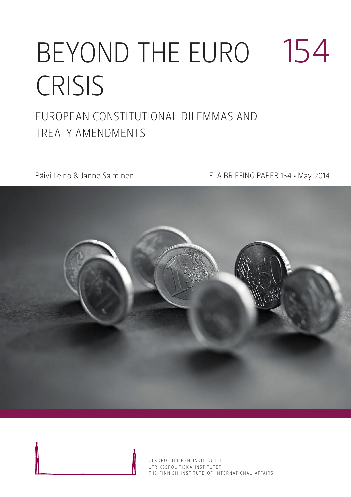# BEYOND THE EURO CRISIS 154 European Constitutional Dilemm as AND

TREATY AMENDMENTS

Päivi Leino & Janne Salminen FIIA BRIEFING PAPER 154 · May 2014



ULKOPOLIITTINEN INSTITUUTTI UTRIKESPOLITISK A INSTITUTET THE FINNISH INSTITUTE OF INTERNATIONAL AFFAIRS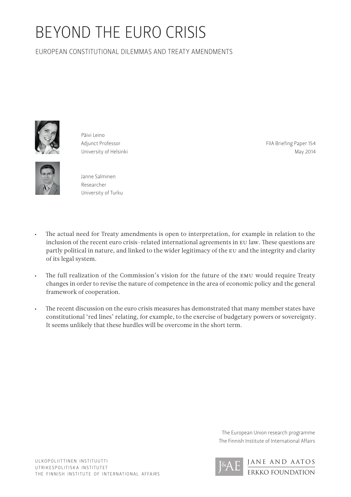## BEYOND THE EURO CRISIS

EUROPEAN CONSTITUTIONAL DILEMMAS AND TREATY AMENDMENTS



Päivi Leino Adjunct Professor University of Helsinki

FIIA Briefing Paper 154 May 2014



Janne Salminen Researcher University of Turku

- • The actual need for Treaty amendments is open to interpretation, for example in relation to the inclusion of the recent euro crisis-related international agreements in EU law. These questions are partly political in nature, and linked to the wider legitimacy of the EU and the integrity and clarity of its legal system.
- The full realization of the Commission's vision for the future of the EMU would require Treaty changes in order to revise the nature of competence in the area of economic policy and the general framework of cooperation.
- The recent discussion on the euro crisis measures has demonstrated that many member states have constitutional 'red lines' relating, for example, to the exercise of budgetary powers or sovereignty. It seems unlikely that these hurdles will be overcome in the short term.

The European Union research programme The Finnish Institute of International Affairs

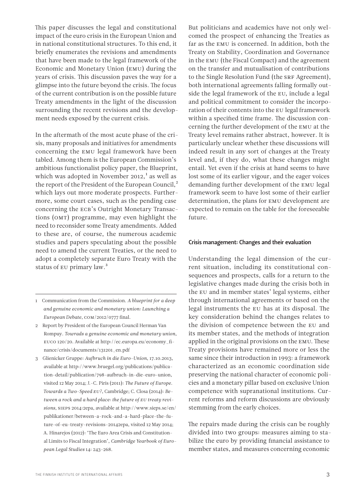This paper discusses the legal and constitutional impact of the euro crisis in the European Union and in national constitutional structures. To this end, it briefly enumerates the revisions and amendments that have been made to the legal framework of the Economic and Monetary Union (EMU) during the years of crisis. This discussion paves the way for a glimpse into the future beyond the crisis. The focus of the current contribution is on the possible future Treaty amendments in the light of the discussion surrounding the recent revisions and the development needs exposed by the current crisis.

In the aftermath of the most acute phase of the crisis, many proposals and initiatives for amendments concerning the EMU legal framework have been tabled. Among them is the European Commission's ambitious functionalist policy paper, the Blueprint, which was adopted in November 2012, $^1$  as well as the report of the President of the European Council,<sup>2</sup> which lays out more moderate prospects. Furthermore, some court cases, such as the pending case concerning the ECB's Outright Monetary Transactions (OMT) programme, may even highlight the need to reconsider some Treaty amendments. Added to these are, of course, the numerous academic studies and papers speculating about the possible need to amend the current Treaties, or the need to adopt a completely separate Euro Treaty with the status of EU primary law.<sup>3</sup>

- 1 Communication from the Commission. *A blueprint for a deep and genuine economic and monetary union: Launching a European Debate*, COM/2012/0777 final.
- 2 Report by President of the European Council Herman Van Rompuy. *Towrads a genuine economic and monetary union*, EUCO 120/20. Available at http://ec.europa.eu/economy\_finance/crisis/documents/131201\_en.pdf
- 3 Glienicker Gruppe: *Aufbruch in die Euro-Union*, 17.10.2013, available at http://www.bruegel.org/publications/publication-detail/publication/798-aufbruch-in-die-euro-union, visited 12 May 2014; J.-C. Piris (2011): *The Future of Europe. Towards a Two-Speed EU?*, Cambridge; C. Closa (2014): *Between a rock and a hard place: the future of EU treaty revisions*, SIEPS 2014:2epa, available at http://www.sieps.se/en/ publikationer/between-a-rock-and-a-hard-place-the-future-of-eu-treaty-revisions-20142epa, visited 12 May 2014; A. Hinarejos (2012): 'The Euro Area Crisis and Constitutional Limits to Fiscal Integration', *Cambridge Yearbook of European Legal Studies* 14: 243-268.

But politicians and academics have not only welcomed the prospect of enhancing the Treaties as far as the EMU is concerned. In addition, both the Treaty on Stability, Coordination and Governance in the EMU (the Fiscal Compact) and the agreement on the transfer and mutualisation of contributions to the Single Resolution Fund (the SRF Agreement), both international agreements falling formally outside the legal framework of the EU, include a legal and political commitment to consider the incorporation of their contents into the EU legal framework within a specified time frame. The discussion concerning the further development of the EMU at the Treaty level remains rather abstract, however. It is particularly unclear whether these discussions will indeed result in any sort of changes at the Treaty level and, if they do, what these changes might entail. Yet even if the crisis at hand seems to have lost some of its earlier vigour, and the eager voices demanding further development of the EMU legal framework seem to have lost some of their earlier determination, the plans for EMU development are expected to remain on the table for the foreseeable future.

#### Crisis management: Changes and their evaluation

Understanding the legal dimension of the current situation, including its constitutional consequences and prospects, calls for a return to the legislative changes made during the crisis both in the EU and in member states' legal systems, either through international agreements or based on the legal instruments the EU has at its disposal. The key consideration behind the changes relates to the division of competence between the EU and its member states, and the methods of integration applied in the original provisions on the EMU. These Treaty provisions have remained more or less the same since their introduction in 1993: a framework characterized as an economic coordination side preserving the national character of economic policies and a monetary pillar based on exclusive Union competence with supranational institutions. Current reforms and reform discussions are obviously stemming from the early choices.

The repairs made during the crisis can be roughly divided into two groups: measures aiming to stabilize the euro by providing financial assistance to member states, and measures concerning economic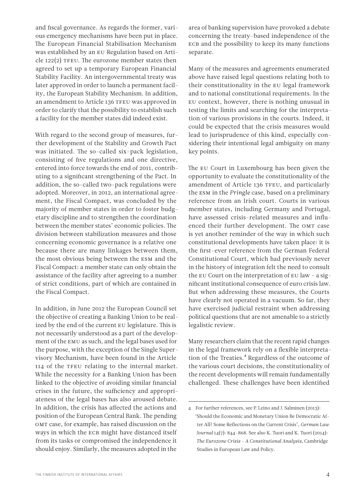and fiscal governance. As regards the former, various emergency mechanisms have been put in place. The European Financial Stabilisation Mechanism was established by an EU Regulation based on Article 122(2) TFEU. The eurozone member states then agreed to set up a temporary European Financial Stability Facility. An intergovernmental treaty was later approved in order to launch a permanent facility, the European Stability Mechanism. In addition, an amendment to Article 136 TFEU was approved in order to clarify that the possibility to establish such a facility for the member states did indeed exist.

With regard to the second group of measures, further development of the Stability and Growth Pact was initiated. The so-called six-pack legislation, consisting of five regulations and one directive, entered into force towards the end of 2011, contributing to a significant strengthening of the Pact. In addition, the so-called two-pack regulations were adopted. Moreover, in 2012, an international agreement, the Fiscal Compact, was concluded by the majority of member states in order to foster budgetary discipline and to strengthen the coordination between the member states' economic policies. The division between stabilization measures and those concerning economic governance is a relative one because there are many linkages between them, the most obvious being between the ESM and the Fiscal Compact: a member state can only obtain the assistance of the facility after agreeing to a number of strict conditions, part of which are contained in the Fiscal Compact.

In addition, in June 2012 the European Council set the objective of creating a Banking Union to be realized by the end of the current EU legislature. This is not necessarily understood as a part of the development of the EMU as such, and the legal bases used for the purpose, with the exception of the Single Supervisory Mechanism, have been found in the Article 114 of the TFEU relating to the internal market. While the necessity for a Banking Union has been linked to the objective of avoiding similar financial crises in the future, the sufficiency and appropriateness of the legal bases has also aroused debate. In addition, the crisis has affected the actions and position of the European Central Bank. The pending OMT case, for example, has raised discussion on the ways in which the ECB might have distanced itself from its tasks or compromised the independence it should enjoy. Similarly, the measures adopted in the

area of banking supervision have provoked a debate concerning the treaty-based independence of the ECB and the possibility to keep its many functions separate.

Many of the measures and agreements enumerated above have raised legal questions relating both to their constitutionality in the EU legal framework and to national constitutional requirements. In the EU context, however, there is nothing unusual in testing the limits and searching for the interpretation of various provisions in the courts. Indeed, it could be expected that the crisis measures would lead to jurisprudence of this kind, especially considering their intentional legal ambiguity on many key points.

The EU Court in Luxembourg has been given the opportunity to evaluate the constitutionality of the amendment of Article 136 TFEU, and particularly the ESM in the *Pringle* case, based on a preliminary reference from an Irish court. Courts in various member states, including Germany and Portugal, have assessed crisis-related measures and influenced their further development. The OMT case is yet another reminder of the way in which such constitutional developments have taken place: it is the first-ever reference from the German Federal Constitutional Court, which had previously never in the history of integration felt the need to consult the EU Court on the interpretation of EU law – a significant institutional consequence of euro crisis law. But when addressing these measures, the Courts have clearly not operated in a vacuum. So far, they have exercised judicial restraint when addressing political questions that are not amenable to a strictly legalistic review.

Many researchers claim that the recent rapid changes in the legal framework rely on a flexible interpretation of the Treaties.<sup>4</sup> Regardless of the outcome of the various court decisions, the constitutionality of the recent developments will remain fundamentally challenged. These challenges have been identified

<sup>4</sup> For further references, see P. Leino and J. Salminen (2013): 'Should the Economic and Monetary Union Be Democratic After All? Some Reflections on the Current Crisis', *German Law Journal* 14(7): 844–868. See also K. Tuori and K. Tuori (2014): *The Eurozone Crisis - A Constitutional Analysis*, Cambridge Studies in European Law and Policy.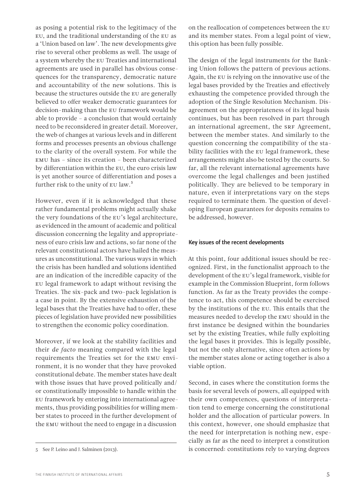as posing a potential risk to the legitimacy of the EU, and the traditional understanding of the EU as a 'Union based on law'. The new developments give rise to several other problems as well. The usage of a system whereby the EU Treaties and international agreements are used in parallel has obvious consequences for the transparency, democratic nature and accountability of the new solutions. This is because the structures outside the EU are generally believed to offer weaker democratic guarantees for decision-making than the EU framework would be able to provide – a conclusion that would certainly need to be reconsidered in greater detail. Moreover, the web of changes at various levels and in different forms and processes presents an obvious challenge to the clarity of the overall system. For while the EMU has – since its creation – been characterized by differentiation within the EU, the euro crisis law is yet another source of differentiation and poses a further risk to the unity of EU law.<sup>5</sup>

However, even if it is acknowledged that these rather fundamental problems might actually shake the very foundations of the EU's legal architecture, as evidenced in the amount of academic and political discussion concerning the legality and appropriateness of euro crisis law and actions, so far none of the relevant constitutional actors have hailed the measures as unconstitutional. The various ways in which the crisis has been handled and solutions identified are an indication of the incredible capacity of the EU legal framework to adapt without revising the Treaties. The six-pack and two-pack legislation is a case in point. By the extensive exhaustion of the legal bases that the Treaties have had to offer, these pieces of legislation have provided new possibilities to strengthen the economic policy coordination.

Moreover, if we look at the stability facilities and their *de facto* meaning compared with the legal requirements the Treaties set for the EMU environment, it is no wonder that they have provoked constitutional debate. The member states have dealt with those issues that have proved politically and/ or constitutionally impossible to handle within the EU framework by entering into international agreements, thus providing possibilities for willing member states to proceed in the further development of the EMU without the need to engage in a discussion

on the reallocation of competences between the EU and its member states. From a legal point of view, this option has been fully possible.

The design of the legal instruments for the Banking Union follows the pattern of previous actions. Again, the EU is relying on the innovative use of the legal bases provided by the Treaties and effectively exhausting the competence provided through the adoption of the Single Resolution Mechanism. Disagreement on the appropriateness of its legal basis continues, but has been resolved in part through an international agreement, the SRF Agreement, between the member states. And similarly to the question concerning the compatibility of the stability facilities with the EU legal framework, these arrangements might also be tested by the courts. So far, all the relevant international agreements have overcome the legal challenges and been justified politically. They are believed to be temporary in nature, even if interpretations vary on the steps required to terminate them. The question of developing European guarantees for deposits remains to be addressed, however.

#### Key issues of the recent developments

At this point, four additional issues should be recognized. First, in the functionalist approach to the development of the EU's legal framework, visible for example in the Commission Blueprint, form follows function. As far as the Treaty provides the competence to act, this competence should be exercised by the institutions of the EU. This entails that the measures needed to develop the EMU should in the first instance be designed within the boundaries set by the existing Treaties, while fully exploiting the legal bases it provides. This is legally possible, but not the only alternative, since often actions by the member states alone or acting together is also a viable option.

Second, in cases where the constitution forms the basis for several levels of powers, all equipped with their own competences, questions of interpretation tend to emerge concerning the constitutional holder and the allocation of particular powers. In this context, however, one should emphasize that the need for interpretation is nothing new, especially as far as the need to interpret a constitution is concerned: constitutions rely to varying degrees

<sup>5</sup> See P. Leino and J. Salminen (2013).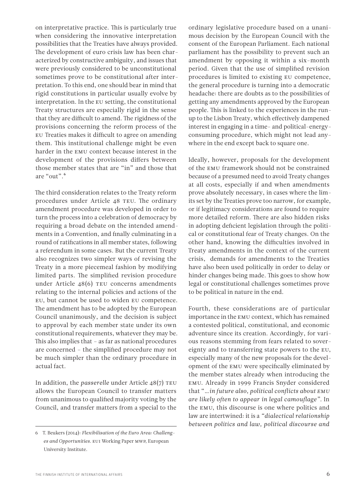on interpretative practice. This is particularly true when considering the innovative interpretation possibilities that the Treaties have always provided. The development of euro crisis law has been characterized by constructive ambiguity, and issues that were previously considered to be unconstitutional sometimes prove to be constitutional after interpretation. To this end, one should bear in mind that rigid constitutions in particular usually evolve by interpretation. In the EU setting, the constitutional Treaty structures are especially rigid in the sense that they are difficult to amend. The rigidness of the provisions concerning the reform process of the EU Treaties makes it difficult to agree on amending them. This institutional challenge might be even harder in the EMU context because interest in the development of the provisions differs between those member states that are "in" and those that are "out".6

The third consideration relates to the Treaty reform procedures under Article 48 TEU. The ordinary amendment procedure was developed in order to turn the process into a celebration of democracy by requiring a broad debate on the intended amendments in a Convention, and finally culminating in a round of ratifications in all member states, following a referendum in some cases. But the current Treaty also recognizes two simpler ways of revising the Treaty in a more piecemeal fashion by modifying limited parts. The simplified revision procedure under Article 48(6) TEU concerns amendments relating to the internal policies and actions of the EU, but cannot be used to widen EU competence. The amendment has to be adopted by the European Council unanimously, and the decision is subject to approval by each member state under its own constitutional requirements, whatever they may be. This also implies that – as far as national procedures are concerned – the simplified procedure may not be much simpler than the ordinary procedure in actual fact.

In addition, the *passerelle* under Article 48(7) TEU allows the European Council to transfer matters from unanimous to qualified majority voting by the Council, and transfer matters from a special to the ordinary legislative procedure based on a unanimous decision by the European Council with the consent of the European Parliament. Each national parliament has the possibility to prevent such an amendment by opposing it within a six-month period. Given that the use of simplified revision procedures is limited to existing EU competence, the general procedure is turning into a democratic headache: there are doubts as to the possibilities of getting any amendments approved by the European people. This is linked to the experiences in the runup to the Lisbon Treaty, which effectively dampened interest in engaging in a time- and political-energyconsuming procedure, which might not lead anywhere in the end except back to square one.

Ideally, however, proposals for the development of the EMU framework should not be constrained because of a presumed need to avoid Treaty changes at all costs, especially if and when amendments prove absolutely necessary, in cases where the limits set by the Treaties prove too narrow, for example, or if legitimacy considerations are found to require more detailed reform. There are also hidden risks in adopting deficient legislation through the political or constitutional fear of Treaty changes. On the other hand, knowing the difficulties involved in Treaty amendments in the context of the current crisis, demands for amendments to the Treaties have also been used politically in order to delay or hinder changes being made. This goes to show how legal or constitutional challenges sometimes prove to be political in nature in the end.

Fourth, these considerations are of particular importance in the EMU context, which has remained a contested political, constitutional, and economic adventure since its creation. Accordingly, for various reasons stemming from fears related to sovereignty and to transferring state powers to the EU, especially many of the new proposals for the development of the EMU were specifically eliminated by the member states already when introducing the EMU. Already in 1999 Francis Snyder considered that "*…in future also, political conflicts about EMU are likely often to appear in legal camouflage".* In the EMU, this discourse is one where politics and law are intertwined: it is a *"dialectical relationship between politics and law, political discourse and* 

<sup>6</sup> T. Beukers (2014): *Flexibilisation of the Euro Area: Challenges and Opportunities*. EUI Working Paper MWP, European University Institute.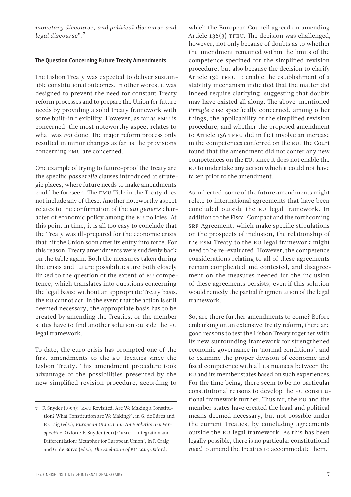*monetary discourse, and political discourse and legal discourse*".7

### The Question Concerning Future Treaty Amendments

The Lisbon Treaty was expected to deliver sustainable constitutional outcomes. In other words, it was designed to prevent the need for constant Treaty reform processes and to prepare the Union for future needs by providing a solid Treaty framework with some built-in flexibility. However, as far as EMU is concerned, the most noteworthy aspect relates to what was *not* done. The major reform process only resulted in minor changes as far as the provisions concerning EMU are concerned.

One example of trying to future-proof the Treaty are the specific *passerelle* clauses introduced at strategic places, where future needs to make amendments could be foreseen. The EMU Title in the Treaty does not include any of these. Another noteworthy aspect relates to the confirmation of the *sui generis* character of economic policy among the EU policies. At this point in time, it is all too easy to conclude that the Treaty was ill-prepared for the economic crisis that hit the Union soon after its entry into force. For this reason, Treaty amendments were suddenly back on the table again. Both the measures taken during the crisis and future possibilities are both closely linked to the question of the extent of EU competence, which translates into questions concerning the legal basis: without an appropriate Treaty basis, the EU cannot act. In the event that the action is still deemed necessary, the appropriate basis has to be created by amending the Treaties, or the member states have to find another solution outside the EU legal framework.

To date, the euro crisis has prompted one of the first amendments to the EU Treaties since the Lisbon Treaty. This amendment procedure took advantage of the possibilities presented by the new simplified revision procedure, according to which the European Council agreed on amending Article 136(3) TFEU. The decision was challenged, however, not only because of doubts as to whether the amendment remained within the limits of the competence specified for the simplified revision procedure, but also because the decision to clarify Article 136 TFEU to enable the establishment of a stability mechanism indicated that the matter did indeed require clarifying, suggesting that doubts may have existed all along. The above-mentioned *Pringle* case specifically concerned, among other things, the applicability of the simplified revision procedure, and whether the proposed amendment to Article 136 TFEU did in fact involve an increase in the competences conferred on the EU. The Court found that the amendment did not confer any new competences on the EU, since it does not enable the EU to undertake any action which it could not have taken prior to the amendment.

As indicated, some of the future amendments might relate to international agreements that have been concluded outside the EU legal framework. In addition to the Fiscal Compact and the forthcoming SRF Agreement, which make specific stipulations on the prospects of inclusion, the relationship of the ESM Treaty to the EU legal framework might need to be re-evaluated. However, the competence considerations relating to all of these agreements remain complicated and contested, and disagreement on the measures needed for the inclusion of these agreements persists, even if this solution would remedy the partial fragmentation of the legal framework.

So, are there further amendments to come? Before embarking on an extensive Treaty reform, there are good reasons to test the Lisbon Treaty together with its new surrounding framework for strengthened economic governance in 'normal conditions', and to examine the proper division of economic and fiscal competence with all its nuances between the EU and its member states based on such experiences. For the time being, there seem to be no particular constitutional reasons to develop the EU constitutional framework further. Thus far, the EU and the member states have created the legal and political means deemed necessary, but not possible under the current Treaties, by concluding agreements outside the EU legal framework. As this has been legally possible, there is no particular constitutional *need* to amend the Treaties to accommodate them.

<sup>7</sup> F. Snyder (1999): 'EMU Revisited. Are We Making a Constitution? What Constitution are We Making?', in G. de Búrca and P. Craig (eds.), *European Union Law: An Evolutionary Perspective*, Oxford; F. Snyder (2011): 'EMU – Integration and Differentiation: Metaphor for European Union', in P. Craig and G. de Búrca (eds.), *The Evolution of EU Law*, Oxford.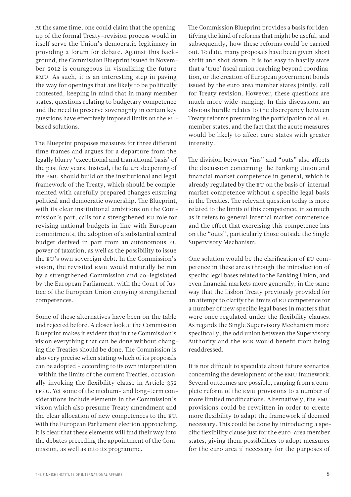At the same time, one could claim that the openingup of the formal Treaty-revision process would in itself serve the Union's democratic legitimacy in providing a forum for debate. Against this background, the Commission Blueprint issued in November 2012 is courageous in visualizing the future EMU. As such, it is an interesting step in paving the way for openings that are likely to be politically contested, keeping in mind that in many member states, questions relating to budgetary competence and the need to preserve sovereignty in certain key questions have effectively imposed limits on the EUbased solutions.

The Blueprint proposes measures for three different time frames and argues for a departure from the legally blurry 'exceptional and transitional basis' of the past few years. Instead, the future deepening of the EMU should build on the institutional and legal framework of the Treaty, which should be complemented with carefully prepared changes ensuring political and democratic ownership. The Blueprint, with its clear institutional ambitions on the Commission's part, calls for a strengthened EU role for revising national budgets in line with European commitments, the adoption of a substantial central budget derived in part from an autonomous EU power of taxation, as well as the possibility to issue the EU's own sovereign debt. In the Commission's vision, the revisited EMU would naturally be run by a strengthened Commission and co-legislated by the European Parliament, with the Court of Justice of the European Union enjoying strengthened competences.

Some of these alternatives have been on the table and rejected before. A closer look at the Commission Blueprint makes it evident that in the Commission's vision everything that can be done without changing the Treaties should be done. The Commission is also very precise when stating which of its proposals can be adopted – according to its own interpretation – within the limits of the current Treaties, occasionally invoking the flexibility clause in Article 352 TFEU. Yet some of the medium- and long-term considerations include elements in the Commission's vision which also presume Treaty amendment and the clear allocation of new competences to the EU. With the European Parliament election approaching, it is clear that these elements will find their way into the debates preceding the appointment of the Commission, as well as into its programme.

The Commission Blueprint provides a basis for identifying the kind of reforms that might be useful, and subsequently, how these reforms could be carried out. To date, many proposals have been given short shrift and shot down. It is too easy to hastily state that a 'true' fiscal union reaching beyond coordination, or the creation of European government bonds issued by the euro area member states jointly, call for Treaty revision. However, these questions are much more wide-ranging. In this discussion, an obvious hurdle relates to the discrepancy between Treaty reforms presuming the participation of all EU member states, and the fact that the acute measures would be likely to affect euro states with greater intensity.

The division between "ins" and "outs" also affects the discussion concerning the Banking Union and financial market competence in general, which is already regulated by the EU on the basis of internal market competence without a specific legal basis in the Treaties. The relevant question today is more related to the limits of this competence, in so much as it refers to general internal market competence, and the effect that exercising this competence has on the "outs", particularly those outside the Single Supervisory Mechanism.

One solution would be the clarification of EU competence in these areas through the introduction of specific legal bases related to the Banking Union, and even financial markets more generally, in the same way that the Lisbon Treaty previously provided for an attempt to clarify the limits of EU competence for a number of new specific legal bases in matters that were once regulated under the flexibility clauses. As regards the Single Supervisory Mechanism more specifically, the odd union between the Supervisory Authority and the ECB would benefit from being readdressed.

It is not difficult to speculate about future scenarios concerning the development of the EMU framework. Several outcomes are possible, ranging from a complete reform of the EMU provisions to a number of more limited modifications. Alternatively, the EMU provisions could be rewritten in order to create more flexibility to adapt the framework if deemed necessary. This could be done by introducing a specific flexibility clause just for the euro-area member states, giving them possibilities to adopt measures for the euro area if necessary for the purposes of